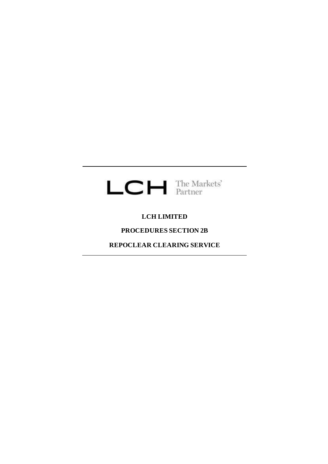

# **LCH LIMITED**

# **PROCEDURES SECTION 2B**

**REPOCLEAR CLEARING SERVICE**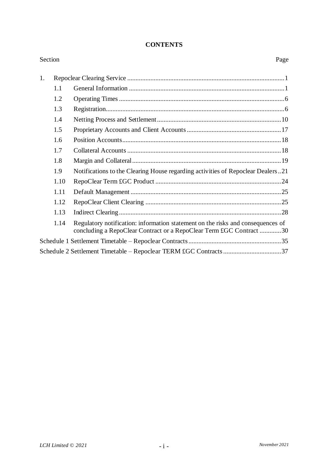## **CONTENTS**

| Section |      |                                                                                                                                                        | Page |
|---------|------|--------------------------------------------------------------------------------------------------------------------------------------------------------|------|
| 1.      |      |                                                                                                                                                        |      |
|         | 1.1  |                                                                                                                                                        |      |
|         | 1.2  |                                                                                                                                                        |      |
|         | 1.3  |                                                                                                                                                        |      |
|         | 1.4  |                                                                                                                                                        |      |
|         | 1.5  |                                                                                                                                                        |      |
|         | 1.6  |                                                                                                                                                        |      |
|         | 1.7  |                                                                                                                                                        |      |
|         | 1.8  |                                                                                                                                                        |      |
|         | 1.9  | Notifications to the Clearing House regarding activities of Repoclear Dealers21                                                                        |      |
|         | 1.10 |                                                                                                                                                        |      |
|         | 1.11 |                                                                                                                                                        |      |
|         | 1.12 |                                                                                                                                                        |      |
|         | 1.13 |                                                                                                                                                        |      |
|         | 1.14 | Regulatory notification: information statement on the risks and consequences of<br>concluding a RepoClear Contract or a RepoClear Term £GC Contract 30 |      |
|         |      |                                                                                                                                                        |      |
|         |      | Schedule 2 Settlement Timetable - Repoclear TERM £GC Contracts 37                                                                                      |      |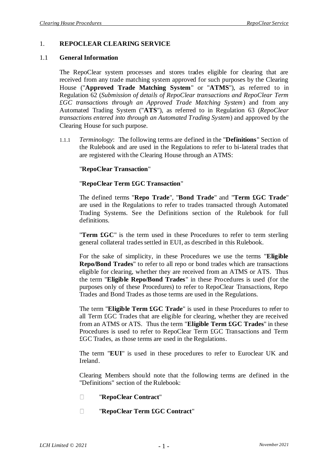#### 1. **REPOCLEAR CLEARING SERVICE**

#### <span id="page-2-0"></span>1.1 **General Information**

The RepoClear system processes and stores trades eligible for clearing that are received from any trade matching system approved for such purposes by the Clearing House ("**Approved Trade Matching System**" or "**ATMS**"), as referred to in Regulation 62 (*Submission of details of RepoClear transactions and RepoClear Term £GC transactions through an Approved Trade Matching System*) and from any Automated Trading System ("**ATS**"), as referred to in Regulation 63 (*RepoClear transactions entered into through an Automated Trading System*) and approved by the Clearing House for such purpose.

1.1.1 *Terminology*: The following terms are defined in the "**Definitions**" Section of the Rulebook and are used in the Regulations to refer to bi-lateral trades that are registered with the Clearing House through an ATMS:

#### "**RepoClear Transaction**"

#### "**RepoClear Term £GC Transaction**"

The defined terms "**Repo Trade**", "**Bond Trade**" and "**Term £GC Trade**" are used in the Regulations to refer to trades transacted through Automated Trading Systems. See the Definitions section of the Rulebook for full definitions.

"**Term £GC**" is the term used in these Procedures to refer to term sterling general collateral trades settled in EUI, as described in this Rulebook.

For the sake of simplicity, in these Procedures we use the terms "**Eligible Repo/Bond Trades**" to refer to all repo or bond trades which are transactions eligible for clearing, whether they are received from an ATMS or ATS. Thus the term "**Eligible Repo/Bond Trades**" in these Procedures is used (for the purposes only of these Procedures) to refer to RepoClear Transactions, Repo Trades and Bond Trades as those terms are used in the Regulations.

The term "**Eligible Term £GC Trade**" is used in these Procedures to refer to all Term £GC Trades that are eligible for clearing, whether they are received from an ATMS or ATS. Thus the term "**Eligible Term £GC Trades**" in these Procedures is used to refer to RepoClear Term £GC Transactions and Term £GC Trades, as those terms are used in the Regulations.

The term "**EUI**" is used in these procedures to refer to Euroclear UK and Ireland.

Clearing Members should note that the following terms are defined in the "Definitions" section of the Rulebook:

- $\Box$ "**RepoClear Contract**"
- $\Box$ "**RepoClear Term £GC Contract**"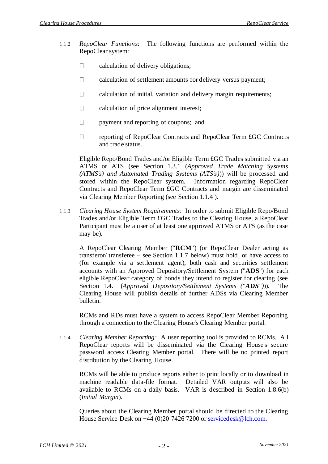- 1.1.2 *RepoClear Functions*: The following functions are performed within the RepoClear system:
	- calculation of delivery obligations;  $\Box$
	- $\Box$ calculation of settlement amounts for delivery versus payment;
	- $\Box$ calculation of initial, variation and delivery margin requirements;
	- $\Box$ calculation of price alignment interest;
	- payment and reporting of coupons; and  $\Box$
	- reporting of RepoClear Contracts and RepoClear Term £GC Contracts  $\Box$ and trade status.

Eligible Repo/Bond Trades and/or Eligible Term £GC Trades submitted via an ATMS or ATS (see Section [1.3.1](#page-7-0) (*Approved Trade Matching Systems (ATMS's) and Automated Trading Systems (ATS's)*)) will be processed and stored within the RepoClear system. Information regarding RepoClear Contracts and RepoClear Term £GC Contracts and margin are disseminated via Clearing Member Reporting (see Section [1.1.4](#page-3-0) ).

1.1.3 *Clearing House System Requirements*: In order to submit Eligible Repo/Bond Trades and/or Eligible Term £GC Trades to the Clearing House, a RepoClear Participant must be a user of at least one approved ATMS or ATS (as the case may be).

A RepoClear Clearing Member ("**RCM**") (or RepoClear Dealer acting as transferor/ transferee – see Section 1.1.7 below) must hold, or have access to (for example via a settlement agent), both cash and securities settlement accounts with an Approved Depository/Settlement System ("**ADS**") for each eligible RepoClear category of bonds they intend to register for clearing (see Section [1.4.1](#page-11-0) (*Approved Depository/Settlement Systems ("ADS")*)). The Clearing House will publish details of further ADSs via Clearing Member bulletin.

RCMs and RDs must have a system to access RepoClear Member Reporting through a connection to the Clearing House's Clearing Member portal.

<span id="page-3-0"></span>1.1.4 *Clearing Member Reporting*: A user reporting tool is provided to RCMs. All RepoClear reports will be disseminated via the Clearing House's secure password access Clearing Member portal. There will be no printed report distribution by the Clearing House.

RCMs will be able to produce reports either to print locally or to download in machine readable data-file format. Detailed VAR outputs will also be available to RCMs on a daily basis. VAR is described in Section [1.8.6\(b\)](#page-21-0) (*Initial Margin*).

Queries about the Clearing Member portal should be directed to the Clearing House Service Desk on +44 (0)20 7426 7200 or [servicedesk@lch.com.](mailto:servicedesk@lch.com)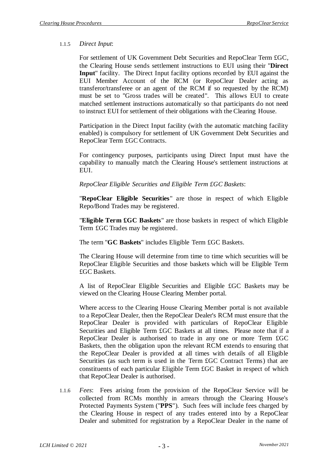### 1.1.5 *Direct Input*:

For settlement of UK Government Debt Securities and RepoClear Term £GC, the Clearing House sends settlement instructions to EUI using their "**Direct Input**" facility. The Direct Input facility options recorded by EUI against the EUI Member Account of the RCM (or RepoClear Dealer acting as transferor/transferee or an agent of the RCM if so requested by the RCM) must be set to "Gross trades will be created". This allows EUI to create matched settlement instructions automatically so that participants do not need to instruct EUI for settlement of their obligations with the Clearing House.

Participation in the Direct Input facility (with the automatic matching facility enabled) is compulsory for settlement of UK Government Debt Securities and RepoClear Term £GC Contracts.

For contingency purposes, participants using Direct Input must have the capability to manually match the Clearing House's settlement instructions at EUI.

*RepoClear Eligible Securities and Eligible Term £GC Baskets*:

"**RepoClear Eligible Securities**" are those in respect of which Eligible Repo/Bond Trades may be registered.

"**Eligible Term £GC Baskets**" are those baskets in respect of which Eligible Term £GC Trades may be registered.

The term "**GC Baskets**" includes Eligible Term £GC Baskets.

The Clearing House will determine from time to time which securities will be RepoClear Eligible Securities and those baskets which will be Eligible Term £GC Baskets.

A list of RepoClear Eligible Securities and Eligible £GC Baskets may be viewed on the Clearing House Clearing Member portal.

Where access to the Clearing House Clearing Member portal is not available to a RepoClear Dealer, then the RepoClear Dealer's RCM must ensure that the RepoClear Dealer is provided with particulars of RepoClear Eligible Securities and Eligible Term £GC Baskets at all times. Please note that if a RepoClear Dealer is authorised to trade in any one or more Term £GC Baskets, then the obligation upon the relevant RCM extends to ensuring that the RepoClear Dealer is provided at all times with details of all Eligible Securities (as such term is used in the Term £GC Contract Terms) that are constituents of each particular Eligible Term £GC Basket in respect of which that RepoClear Dealer is authorised.

1.1.6 *Fees*: Fees arising from the provision of the RepoClear Service will be collected from RCMs monthly in arrears through the Clearing House's Protected Payments System ("**PPS**"). Such fees will include fees charged by the Clearing House in respect of any trades entered into by a RepoClear Dealer and submitted for registration by a RepoClear Dealer in the name of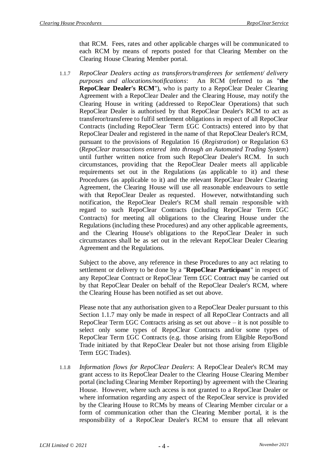that RCM. Fees, rates and other applicable charges will be communicated to each RCM by means of reports posted for that Clearing Member on the Clearing House Clearing Member portal.

<span id="page-5-0"></span>1.1.7 *RepoClear Dealers acting as transferors/transferees for settlement/ delivery purposes and allocations/notifications*: An RCM (referred to as "**the RepoClear Dealer's RCM**"), who is party to a RepoClear Dealer Clearing Agreement with a RepoClear Dealer and the Clearing House, may notify the Clearing House in writing (addressed to RepoClear Operations) that such RepoClear Dealer is authorised by that RepoClear Dealer's RCM to act as transferor/transferee to fulfil settlement obligations in respect of all RepoClear Contracts (including RepoClear Term £GC Contracts) entered into by that RepoClear Dealer and registered in the name of that RepoClear Dealer's RCM, pursuant to the provisions of Regulation 16 (*Registration*) or Regulation 63 (*RepoClear transactions entered into through an Automated Trading System*) until further written notice from such RepoClear Dealer's RCM. In such circumstances, providing that the RepoClear Dealer meets all applicable requirements set out in the Regulations (as applicable to it) and these Procedures (as applicable to it) and the relevant RepoClear Dealer Clearing Agreement, the Clearing House will use all reasonable endeavours to settle with that RepoClear Dealer as requested. However, notwithstanding such notification, the RepoClear Dealer's RCM shall remain responsible with regard to such RepoClear Contracts (including RepoClear Term £GC Contracts) for meeting all obligations to the Clearing House under the Regulations (including these Procedures) and any other applicable agreements, and the Clearing House's obligations to the RepoClear Dealer in such circumstances shall be as set out in the relevant RepoClear Dealer Clearing Agreement and the Regulations.

Subject to the above, any reference in these Procedures to any act relating to settlement or delivery to be done by a "**RepoClear Participant**" in respect of any RepoClear Contract or RepoClear Term £GC Contract may be carried out by that RepoClear Dealer on behalf of the RepoClear Dealer's RCM, where the Clearing House has been notified as set out above.

Please note that any authorisation given to a RepoClear Dealer pursuant to this Section [1.1.7](#page-5-0) may only be made in respect of all RepoClear Contracts and all RepoClear Term  $\text{fGC}$  Contracts arising as set out above – it is not possible to select only some types of RepoClear Contracts and/or some types of RepoClear Term £GC Contracts (e.g. those arising from Eligible Repo/Bond Trade initiated by that RepoClear Dealer but not those arising from Eligible Term £GC Trades).

1.1.8 *Information flows for RepoClear Dealers*: A RepoClear Dealer's RCM may grant access to its RepoClear Dealer to the Clearing House Clearing Member portal (including Clearing Member Reporting) by agreement with the Clearing House. However, where such access is not granted to a RepoClear Dealer or where information regarding any aspect of the RepoClear service is provided by the Clearing House to RCMs by means of Clearing Member circular or a form of communication other than the Clearing Member portal, it is the responsibility of a RepoClear Dealer's RCM to ensure that all relevant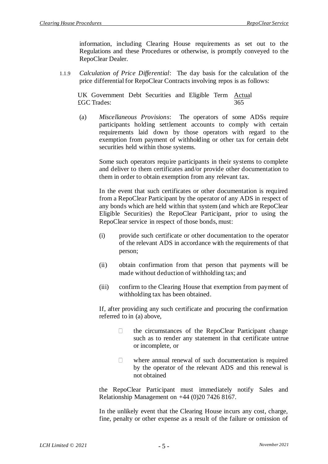information, including Clearing House requirements as set out to the Regulations and these Procedures or otherwise, is promptly conveyed to the RepoClear Dealer.

1.1.9 *Calculation of Price Differential*: The day basis for the calculation of the price differential for RepoClear Contracts involving repos is as follows:

UK Government Debt Securities and Eligible Term **Actual** £GC Trades: 365

<span id="page-6-0"></span>(a) *Miscellaneous Provisions*: The operators of some ADSs require participants holding settlement accounts to comply with certain requirements laid down by those operators with regard to the exemption from payment of withholding or other tax for certain debt securities held within those systems.

Some such operators require participants in their systems to complete and deliver to them certificates and/or provide other documentation to them in order to obtain exemption from any relevant tax.

In the event that such certificates or other documentation is required from a RepoClear Participant by the operator of any ADS in respect of any bonds which are held within that system (and which are RepoClear Eligible Securities) the RepoClear Participant, prior to using the RepoClear service in respect of those bonds, must:

- (i) provide such certificate or other documentation to the operator of the relevant ADS in accordance with the requirements of that person;
- (ii) obtain confirmation from that person that payments will be made without deduction of withholding tax; and
- (iii) confirm to the Clearing House that exemption from payment of withholding tax has been obtained.

If, after providing any such certificate and procuring the confirmation referred to in [\(a\)](#page-6-0) above,

- $\Box$ the circumstances of the RepoClear Participant change such as to render any statement in that certificate untrue or incomplete, or
- $\Box$ where annual renewal of such documentation is required by the operator of the relevant ADS and this renewal is not obtained

the RepoClear Participant must immediately notify Sales and Relationship Management on +44 (0)20 7426 8167.

In the unlikely event that the Clearing House incurs any cost, charge, fine, penalty or other expense as a result of the failure or omission of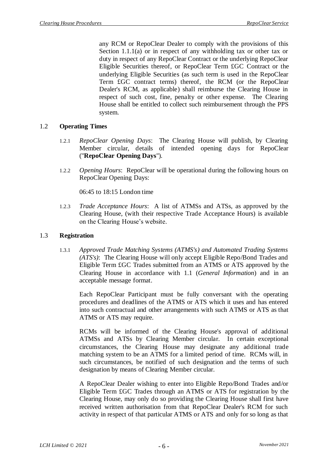any RCM or RepoClear Dealer to comply with the provisions of this Section 1.1.1(a) or in respect of any withholding tax or other tax or duty in respect of any RepoClear Contract or the underlying RepoClear Eligible Securities thereof, or RepoClear Term £GC Contract or the underlying Eligible Securities (as such term is used in the RepoClear Term £GC contract terms) thereof, the RCM (or the RepoClear Dealer's RCM, as applicable) shall reimburse the Clearing House in respect of such cost, fine, penalty or other expense. The Clearing House shall be entitled to collect such reimbursement through the PPS system.

## 1.2 **Operating Times**

- 1.2.1 *RepoClear Opening Days*: The Clearing House will publish, by Clearing Member circular, details of intended opening days for RepoClear ("**RepoClear Opening Days**").
- 1.2.2 *Opening Hours*: RepoClear will be operational during the following hours on RepoClear Opening Days:

06:45 to 18:15 London time

1.2.3 *Trade Acceptance Hours*: A list of ATMSs and ATSs, as approved by the Clearing House, (with their respective Trade Acceptance Hours) is available on the Clearing House's website.

#### <span id="page-7-0"></span>1.3 **Registration**

1.3.1 *Approved Trade Matching Systems (ATMS's) and Automated Trading Systems (ATS's)*: The Clearing House will only accept Eligible Repo/Bond Trades and Eligible Term £GC Trades submitted from an ATMS or ATS approved by the Clearing House in accordance with [1.1](#page-2-0) (*General Information*) and in an acceptable message format.

Each RepoClear Participant must be fully conversant with the operating procedures and deadlines of the ATMS or ATS which it uses and has entered into such contractual and other arrangements with such ATMS or ATS as that ATMS or ATS may require.

RCMs will be informed of the Clearing House's approval of additional ATMSs and ATSs by Clearing Member circular. In certain exceptional circumstances, the Clearing House may designate any additional trade matching system to be an ATMS for a limited period of time. RCMs will, in such circumstances, be notified of such designation and the terms of such designation by means of Clearing Member circular.

A RepoClear Dealer wishing to enter into Eligible Repo/Bond Trades and/or Eligible Term £GC Trades through an ATMS or ATS for registration by the Clearing House, may only do so providing the Clearing House shall first have received written authorisation from that RepoClear Dealer's RCM for such activity in respect of that particular ATMS or ATS and only for so long as that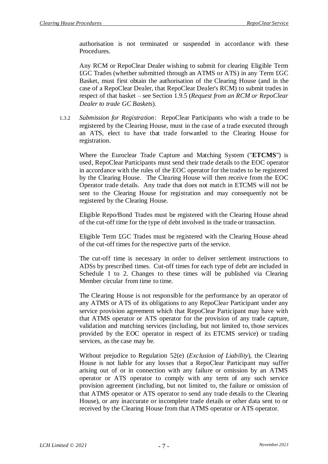authorisation is not terminated or suspended in accordance with these Procedures.

Any RCM or RepoClear Dealer wishing to submit for clearing Eligible Term £GC Trades (whether submitted through an ATMS or ATS) in any Term £GC Basket, must first obtain the authorisation of the Clearing House (and in the case of a RepoClear Dealer, that RepoClear Dealer's RCM) to submit trades in respect of that basket – see Section [1.9.5](#page-24-0) (*Request from an RCM or RepoClear Dealer to trade GC Baskets*).

1.3.2 *Submission for Registration*: RepoClear Participants who wish a trade to be registered by the Clearing House, must in the case of a trade executed through an ATS, elect to have that trade forwarded to the Clearing House for registration.

Where the Euroclear Trade Capture and Matching System ("**ETCMS**") is used, RepoClear Participants must send their trade details to the EOC operator in accordance with the rules of the EOC operator for the trades to be registered by the Clearing House. The Clearing House will then receive from the EOC Operator trade details. Any trade that does not match in ETCMS will not be sent to the Clearing House for registration and may consequently not be registered by the Clearing House.

Eligible Repo/Bond Trades must be registered with the Clearing House ahead of the cut-off time for the type of debt involved in the trade or transaction.

Eligible Term £GC Trades must be registered with the Clearing House ahead of the cut-off times for the respective parts of the service.

The cut-off time is necessary in order to deliver settlement instructions to ADSs by prescribed times. Cut-off times for each type of debt are included in Schedule 1 to 2. Changes to these times will be published via Clearing Member circular from time to time.

The Clearing House is not responsible for the performance by an operator of any ATMS or ATS of its obligations to any RepoClear Participant under any service provision agreement which that RepoClear Participant may have with that ATMS operator or ATS operator for the provision of any trade capture, validation and matching services (including, but not limited to, those services provided by the EOC operator in respect of its ETCMS service) or trading services, as the case may be.

Without prejudice to Regulation 52(e) (*Exclusion of Liability*), the Clearing House is not liable for any losses that a RepoClear Participant may suffer arising out of or in connection with any failure or omission by an ATMS operator or ATS operator to comply with any term of any such service provision agreement (including, but not limited to, the failure or omission of that ATMS operator or ATS operator to send any trade details to the Clearing House), or any inaccurate or incomplete trade details or other data sent to or received by the Clearing House from that ATMS operator or ATS operator.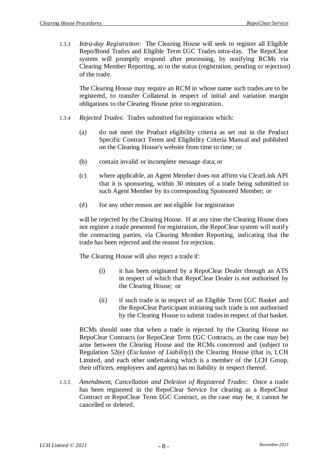1.3.3 *Intra-day Registration*: The Clearing House will seek to register all Eligible Repo/Bond Trades and Eligible Term £GC Trades intra-day. The RepoClear system will promptly respond after processing, by notifying RCMs via Clearing Member Reporting, as to the status (registration, pending or rejection) of the trade.

The Clearing House may require an RCM in whose name such trades are to be registered, to transfer Collateral in respect of initial and variation margin obligations to the Clearing House prior to registration.

- 1.3.4 *Rejected Trades*: Trades submitted for registration which:
	- (a) do not meet the Product eligibility criteria as set out in the Product Specific Contract Terms and Eligibility Criteria Manual and published on the Clearing House's website from time to time; or
	- (b) contain invalid or incomplete message data; or
	- (c) where applicable, an Agent Member does not affirm via ClearLink API that it is sponsoring, within 30 minutes of a trade being submitted to such Agent Member by its corresponding Sponsored Member; or
	- (d) for any other reason are not eligible for registration

will be rejected by the Clearing House. If at any time the Clearing House does not register a trade presented for registration, the RepoClear system will notify the contracting parties, via Clearing Member Reporting, indicating that the trade has been rejected and the reason for rejection.

The Clearing House will also reject a trade if:

- (i) it has been originated by a RepoClear Dealer through an ATS in respect of which that RepoClear Dealer is not authorised by the Clearing House; or
- (ii) if such trade is in respect of an Eligible Term £GC Basket and the RepoClear Participant initiating such trade is not authorised by the Clearing House to submit trades in respect of that basket.

RCMs should note that when a trade is rejected by the Clearing House no RepoClear Contracts (or RepoClear Term £GC Contracts, as the case may be) arise between the Clearing House and the RCMs concerned and (subject to Regulation 52(e) (*Exclusion of Liability*)) the Clearing House (that is, LCH Limited, and each other undertaking which is a member of the LCH Group, their officers, employees and agents) has no liability in respect thereof.

1.3.5 *Amendment, Cancellation and Deletion of Registered Trades*: Once a trade has been registered in the RepoClear Service for clearing as a RepoClear Contract or RepoClear Term £GC Contract, as the case may be, it cannot be cancelled or deleted.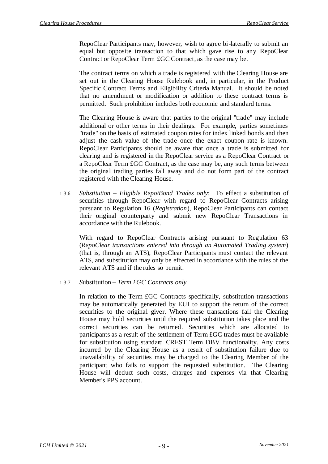RepoClear Participants may, however, wish to agree bi-laterally to submit an equal but opposite transaction to that which gave rise to any RepoClear Contract or RepoClear Term £GC Contract, as the case may be.

The contract terms on which a trade is registered with the Clearing House are set out in the Clearing House Rulebook and, in particular, in the Product Specific Contract Terms and Eligibility Criteria Manual. It should be noted that no amendment or modification or addition to these contract terms is permitted. Such prohibition includes both economic and standard terms.

The Clearing House is aware that parties to the original "trade" may include additional or other terms in their dealings. For example, parties sometimes "trade" on the basis of estimated coupon rates for index linked bonds and then adjust the cash value of the trade once the exact coupon rate is known. RepoClear Participants should be aware that once a trade is submitted for clearing and is registered in the RepoClear service as a RepoClear Contract or a RepoClear Term £GC Contract, as the case may be, any such terms between the original trading parties fall away and do not form part of the contract registered with the Clearing House.

1.3.6 *Substitution – Eligible Repo/Bond Trades only*: To effect a substitution of securities through RepoClear with regard to RepoClear Contracts arising pursuant to Regulation 16 (*Registration*), RepoClear Participants can contact their original counterparty and submit new RepoClear Transactions in accordance with the Rulebook.

With regard to RepoClear Contracts arising pursuant to Regulation 63 (*RepoClear transactions entered into through an Automated Trading system*) (that is, through an ATS), RepoClear Participants must contact the relevant ATS, and substitution may only be effected in accordance with the rules of the relevant ATS and if the rules so permit.

#### 1.3.7 *S*ubstitution *– Term £GC Contracts only*

In relation to the Term £GC Contracts specifically, substitution transactions may be automatically generated by EUI to support the return of the correct securities to the original giver. Where these transactions fail the Clearing House may hold securities until the required substitution takes place and the correct securities can be returned. Securities which are allocated to participants as a result of the settlement of Term £GC trades must be available for substitution using standard CREST Term DBV functionality. Any costs incurred by the Clearing House as a result of substitution failure due to unavailability of securities may be charged to the Clearing Member of the participant who fails to support the requested substitution. The Clearing House will deduct such costs, charges and expenses via that Clearing Member's PPS account.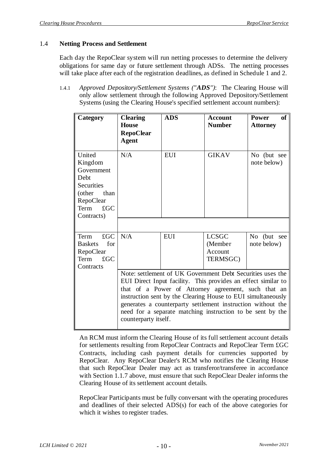## 1.4 **Netting Process and Settlement**

Each day the RepoClear system will run netting processes to determine the delivery obligations for same day or future settlement through ADSs. The netting processes will take place after each of the registration deadlines, as defined in Schedule 1 and 2.

<span id="page-11-0"></span>1.4.1 *Approved Depository/Settlement Systems ("ADS")*: The Clearing House will only allow settlement through the following Approved Depository/Settlement Systems (using the Clearing House's specified settlement account numbers):

| Category                                                                                                                          | <b>Clearing</b><br><b>House</b><br><b>RepoClear</b><br><b>Agent</b>                                                                                                                                                                                                                                                                                                                                     | <b>ADS</b> | <b>Account</b><br><b>Number</b>                | of 1<br><b>Power</b><br><b>Attorney</b> |
|-----------------------------------------------------------------------------------------------------------------------------------|---------------------------------------------------------------------------------------------------------------------------------------------------------------------------------------------------------------------------------------------------------------------------------------------------------------------------------------------------------------------------------------------------------|------------|------------------------------------------------|-----------------------------------------|
| United<br>Kingdom<br>Government<br>Debt<br><b>Securities</b><br>(other<br>than<br>RepoClear<br>$\pounds$ GC<br>Term<br>Contracts) | N/A                                                                                                                                                                                                                                                                                                                                                                                                     | <b>EUI</b> | <b>GIKAV</b>                                   | No (but see<br>note below)              |
| $\pounds$ GC<br>Term<br>for<br><b>Baskets</b><br>RepoClear<br>$\pounds$ GC<br>Term<br>Contracts                                   | N/A                                                                                                                                                                                                                                                                                                                                                                                                     | <b>EUI</b> | <b>LCSGC</b><br>(Member<br>Account<br>TERMSGC) | No (but see<br>note below)              |
|                                                                                                                                   | Note: settlement of UK Government Debt Securities uses the<br>EUI Direct Input facility. This provides an effect similar to<br>that of a Power of Attorney agreement, such that an<br>instruction sent by the Clearing House to EUI simultaneously<br>generates a counterparty settlement instruction without the<br>need for a separate matching instruction to be sent by the<br>counterparty itself. |            |                                                |                                         |

An RCM must inform the Clearing House of its full settlement account details for settlements resulting from RepoClear Contracts and RepoClear Term £GC Contracts, including cash payment details for currencies supported by RepoClear. Any RepoClear Dealer's RCM who notifies the Clearing House that such RepoClear Dealer may act as transferor/transferee in accordance with Section 1.1.7 above, must ensure that such RepoClear Dealer informs the Clearing House of its settlement account details.

RepoClear Participants must be fully conversant with the operating procedures and deadlines of their selected ADS(s) for each of the above categories for which it wishes to register trades.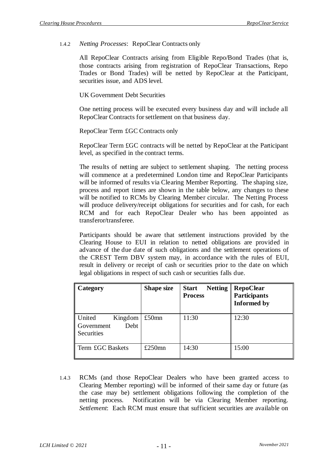1.4.2 *Netting Processes*: RepoClear Contracts only

All RepoClear Contracts arising from Eligible Repo/Bond Trades (that is, those contracts arising from registration of RepoClear Transactions, Repo Trades or Bond Trades) will be netted by RepoClear at the Participant, securities issue, and ADS level.

UK Government Debt Securities

One netting process will be executed every business day and will include all RepoClear Contracts for settlement on that business day.

RepoClear Term £GC Contracts only

RepoClear Term £GC contracts will be netted by RepoClear at the Participant level, as specified in the contract terms.

The results of netting are subject to settlement shaping. The netting process will commence at a predetermined London time and RepoClear Participants will be informed of results via Clearing Member Reporting. The shaping size, process and report times are shown in the table below, any changes to these will be notified to RCMs by Clearing Member circular. The Netting Process will produce delivery/receipt obligations for securities and for cash, for each RCM and for each RepoClear Dealer who has been appointed as transferor/transferee.

Participants should be aware that settlement instructions provided by the Clearing House to EUI in relation to netted obligations are provided in advance of the due date of such obligations and the settlement operations of the CREST Term DBV system may, in accordance with the rules of EUI, result in delivery or receipt of cash or securities prior to the date on which legal obligations in respect of such cash or securities falls due.

| Category                                              | <b>Shape size</b> | <b>Netting</b><br><b>Start</b><br><b>Process</b> | <b>RepoClear</b><br><b>Participants</b><br><b>Informed by</b> |
|-------------------------------------------------------|-------------------|--------------------------------------------------|---------------------------------------------------------------|
| United<br>Kingdom<br>Debt<br>Government<br>Securities | $£50$ mn          | 11:30                                            | 12:30                                                         |
| Term £GC Baskets                                      | £250 $mn$         | 14:30                                            | 15:00                                                         |

1.4.3 RCMs (and those RepoClear Dealers who have been granted access to Clearing Member reporting) will be informed of their same day or future (as the case may be) settlement obligations following the completion of the netting process. Notification will be via Clearing Member reporting. *Settlement*: Each RCM must ensure that sufficient securities are available on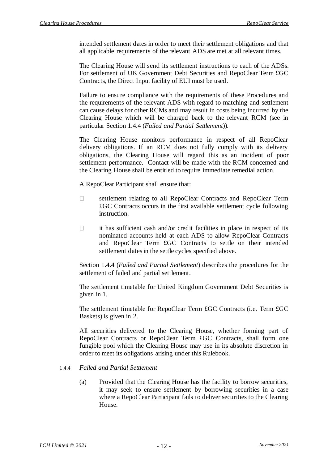intended settlement dates in order to meet their settlement obligations and that all applicable requirements of the relevant ADS are met at all relevant times.

The Clearing House will send its settlement instructions to each of the ADSs. For settlement of UK Government Debt Securities and RepoClear Term £GC Contracts, the Direct Input facility of EUI must be used.

Failure to ensure compliance with the requirements of these Procedures and the requirements of the relevant ADS with regard to matching and settlement can cause delays for other RCMs and may result in costs being incurred by the Clearing House which will be charged back to the relevant RCM (see in particular Section [1.4.4](#page-13-0) (*Failed and Partial Settlement*)).

The Clearing House monitors performance in respect of all RepoClear delivery obligations. If an RCM does not fully comply with its delivery obligations, the Clearing House will regard this as an incident of poor settlement performance. Contact will be made with the RCM concerned and the Clearing House shall be entitled to require immediate remedial action.

A RepoClear Participant shall ensure that:

- $\Box$ settlement relating to all RepoClear Contracts and RepoClear Term £GC Contracts occurs in the first available settlement cycle following instruction.
- $\Box$ it has sufficient cash and/or credit facilities in place in respect of its nominated accounts held at each ADS to allow RepoClear Contracts and RepoClear Term £GC Contracts to settle on their intended settlement dates in the settle cycles specified above.

Section [1.4.4](#page-13-0) (*Failed and Partial Settlement*) describes the procedures for the settlement of failed and partial settlement.

The settlement timetable for United Kingdom Government Debt Securities is given in 1.

The settlement timetable for RepoClear Term £GC Contracts (i.e. Term £GC Baskets) is given in 2.

All securities delivered to the Clearing House, whether forming part of RepoClear Contracts or RepoClear Term £GC Contracts, shall form one fungible pool which the Clearing House may use in its absolute discretion in order to meet its obligations arising under this Rulebook.

- <span id="page-13-0"></span>1.4.4 *Failed and Partial Settlement*
	- (a) Provided that the Clearing House has the facility to borrow securities, it may seek to ensure settlement by borrowing securities in a case where a RepoClear Participant fails to deliver securities to the Clearing House.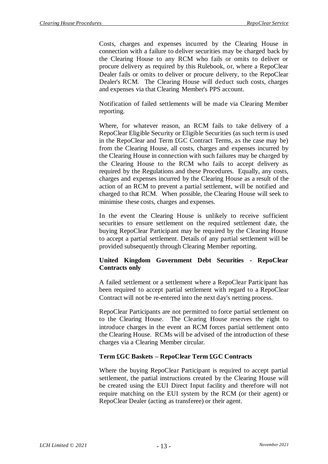Costs, charges and expenses incurred by the Clearing House in connection with a failure to deliver securities may be charged back by the Clearing House to any RCM who fails or omits to deliver or procure delivery as required by this Rulebook, or, where a RepoClear Dealer fails or omits to deliver or procure delivery, to the RepoClear Dealer's RCM. The Clearing House will deduct such costs, charges and expenses via that Clearing Member's PPS account.

Notification of failed settlements will be made via Clearing Member reporting.

Where, for whatever reason, an RCM fails to take delivery of a RepoClear Eligible Security or Eligible Securities (as such term is used in the RepoClear and Term £GC Contract Terms, as the case may be) from the Clearing House, all costs, charges and expenses incurred by the Clearing House in connection with such failures may be charged by the Clearing House to the RCM who fails to accept delivery as required by the Regulations and these Procedures. Equally, any costs, charges and expenses incurred by the Clearing House as a result of the action of an RCM to prevent a partial settlement, will be notified and charged to that RCM. When possible, the Clearing House will seek to minimise these costs, charges and expenses.

In the event the Clearing House is unlikely to receive sufficient securities to ensure settlement on the required settlement date, the buying RepoClear Participant may be required by the Clearing House to accept a partial settlement. Details of any partial settlement will be provided subsequently through Clearing Member reporting.

### **United Kingdom Government Debt Securities - RepoClear Contracts only**

A failed settlement or a settlement where a RepoClear Participant has been required to accept partial settlement with regard to a RepoClear Contract will not be re-entered into the next day's netting process.

RepoClear Participants are not permitted to force partial settlement on to the Clearing House. The Clearing House reserves the right to introduce charges in the event an RCM forces partial settlement onto the Clearing House. RCMs will be advised of the introduction of these charges via a Clearing Member circular.

## **Term £GC Baskets – RepoClear Term £GC Contracts**

Where the buying RepoClear Participant is required to accept partial settlement, the partial instructions created by the Clearing House will be created using the EUI Direct Input facility and therefore will not require matching on the EUI system by the RCM (or their agent) or RepoClear Dealer (acting as transferee) or their agent.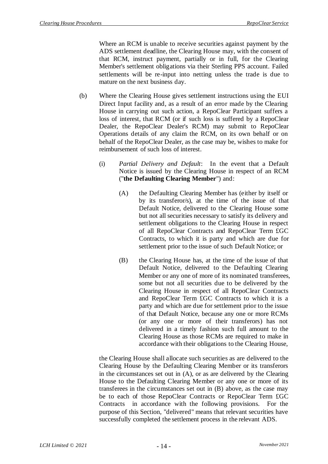Where an RCM is unable to receive securities against payment by the ADS settlement deadline, the Clearing House may, with the consent of that RCM, instruct payment, partially or in full, for the Clearing Member's settlement obligations via their Sterling PPS account. Failed settlements will be re-input into netting unless the trade is due to mature on the next business day.

- <span id="page-15-0"></span>(b) Where the Clearing House gives settlement instructions using the EUI Direct Input facility and, as a result of an error made by the Clearing House in carrying out such action, a RepoClear Participant suffers a loss of interest, that RCM (or if such loss is suffered by a RepoClear Dealer, the RepoClear Dealer's RCM) may submit to RepoClear Operations details of any claim the RCM, on its own behalf or on behalf of the RepoClear Dealer, as the case may be, wishes to make for reimbursement of such loss of interest.
	- (i) *Partial Delivery and Default*: In the event that a Default Notice is issued by the Clearing House in respect of an RCM ("**the Defaulting Clearing Member**") and:
		- (A) the Defaulting Clearing Member has (either by itself or by its transferor/s), at the time of the issue of that Default Notice, delivered to the Clearing House some but not all securities necessary to satisfy its delivery and settlement obligations to the Clearing House in respect of all RepoClear Contracts and RepoClear Term £GC Contracts, to which it is party and which are due for settlement prior to the issue of such Default Notice; or
		- (B) the Clearing House has, at the time of the issue of that Default Notice, delivered to the Defaulting Clearing Member or any one of more of its nominated transferees, some but not all securities due to be delivered by the Clearing House in respect of all RepoClear Contracts and RepoClear Term £GC Contracts to which it is a party and which are due for settlement prior to the issue of that Default Notice, because any one or more RCMs (or any one or more of their transferors) has not delivered in a timely fashion such full amount to the Clearing House as those RCMs are required to make in accordance with their obligations to the Clearing House,

<span id="page-15-1"></span>the Clearing House shall allocate such securities as are delivered to the Clearing House by the Defaulting Clearing Member or its transferors in the circumstances set out in [\(A\),](#page-15-0) or as are delivered by the Clearing House to the Defaulting Clearing Member or any one or more of its transferees in the circumstances set out in [\(B\)](#page-15-1) above, as the case may be to each of those RepoClear Contracts or RepoClear Term £GC Contracts in accordance with the following provisions. For the purpose of this Section, "delivered" means that relevant securities have successfully completed the settlement process in the relevant ADS.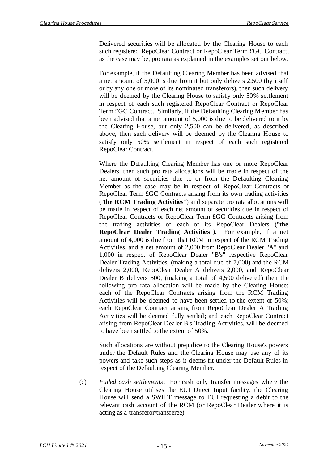Delivered securities will be allocated by the Clearing House to each such registered RepoClear Contract or RepoClear Term £GC Contract, as the case may be, pro rata as explained in the examples set out below.

For example, if the Defaulting Clearing Member has been advised that a net amount of 5,000 is due from it but only delivers 2,500 (by itself or by any one or more of its nominated transferors), then such delivery will be deemed by the Clearing House to satisfy only 50% settlement in respect of each such registered RepoClear Contract or RepoClear Term £GC Contract. Similarly, if the Defaulting Clearing Member has been advised that a net amount of 5,000 is due to be delivered to it by the Clearing House, but only 2,500 can be delivered, as described above, then such delivery will be deemed by the Clearing House to satisfy only 50% settlement in respect of each such registered RepoClear Contract.

Where the Defaulting Clearing Member has one or more RepoClear Dealers, then such pro rata allocations will be made in respect of the net amount of securities due to or from the Defaulting Clearing Member as the case may be in respect of RepoClear Contracts or RepoClear Term £GC Contracts arising from its own trading activities ("**the RCM Trading Activities**") and separate pro rata allocations will be made in respect of each net amount of securities due in respect of RepoClear Contracts or RepoClear Term £GC Contracts arising from the trading activities of each of its RepoClear Dealers ("**the RepoClear Dealer Trading Activities**"). For example, if a net amount of 4,000 is due from that RCM in respect of the RCM Trading Activities, and a net amount of 2,000 from RepoClear Dealer "A" and 1,000 in respect of RepoClear Dealer "B's" respective RepoClear Dealer Trading Activities, (making a total due of 7,000) and the RCM delivers 2,000, RepoClear Dealer A delivers 2,000, and RepoClear Dealer B delivers 500, (making a total of 4,500 delivered) then the following pro rata allocation will be made by the Clearing House: each of the RepoClear Contracts arising from the RCM Trading Activities will be deemed to have been settled to the extent of 50%; each RepoClear Contract arising from RepoClear Dealer A Trading Activities will be deemed fully settled; and each RepoClear Contract arising from RepoClear Dealer B's Trading Activities, will be deemed to have been settled to the extent of 50%.

Such allocations are without prejudice to the Clearing House's powers under the Default Rules and the Clearing House may use any of its powers and take such steps as it deems fit under the Default Rules in respect of the Defaulting Clearing Member.

(c) *Failed cash settlements*: For cash only transfer messages where the Clearing House utilises the EUI Direct Input facility, the Clearing House will send a SWIFT message to EUI requesting a debit to the relevant cash account of the RCM (or RepoClear Dealer where it is acting as a transferor/transferee).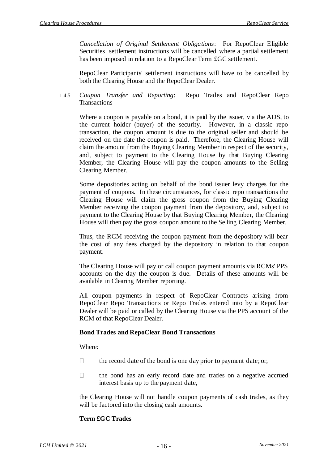*Cancellation of Original Settlement Obligations*: For RepoClear Eligible Securities settlement instructions will be cancelled where a partial settlement has been imposed in relation to a RepoClear Term £GC settlement.

RepoClear Participants' settlement instructions will have to be cancelled by both the Clearing House and the RepoClear Dealer.

1.4.5 *Coupon Transfer and Reporting*: Repo Trades and RepoClear Repo **Transactions** 

Where a coupon is payable on a bond, it is paid by the issuer, via the ADS, to the current holder (buyer) of the security. However, in a classic repo transaction, the coupon amount is due to the original seller and should be received on the date the coupon is paid. Therefore, the Clearing House will claim the amount from the Buying Clearing Member in respect of the security, and, subject to payment to the Clearing House by that Buying Clearing Member, the Clearing House will pay the coupon amounts to the Selling Clearing Member.

Some depositories acting on behalf of the bond issuer levy charges for the payment of coupons. In these circumstances, for classic repo transactions the Clearing House will claim the gross coupon from the Buying Clearing Member receiving the coupon payment from the depository, and, subject to payment to the Clearing House by that Buying Clearing Member, the Clearing House will then pay the gross coupon amount to the Selling Clearing Member.

Thus, the RCM receiving the coupon payment from the depository will bear the cost of any fees charged by the depository in relation to that coupon payment.

The Clearing House will pay or call coupon payment amounts via RCMs' PPS accounts on the day the coupon is due. Details of these amounts will be available in Clearing Member reporting.

All coupon payments in respect of RepoClear Contracts arising from RepoClear Repo Transactions or Repo Trades entered into by a RepoClear Dealer will be paid or called by the Clearing House via the PPS account of the RCM of that RepoClear Dealer.

#### **Bond Trades and RepoClear Bond Transactions**

Where:

- $\Box$ the record date of the bond is one day prior to payment date; or,
- $\Box$ the bond has an early record date and trades on a negative accrued interest basis up to the payment date,

the Clearing House will not handle coupon payments of cash trades, as they will be factored into the closing cash amounts.

## **Term £GC Trades**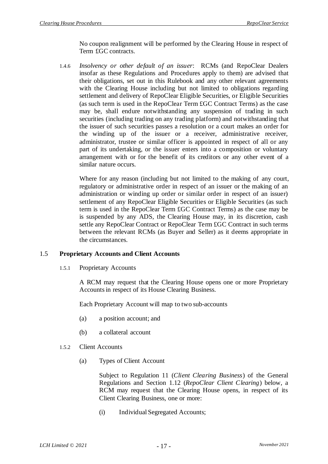No coupon realignment will be performed by the Clearing House in respect of Term £GC contracts.

1.4.6 *Insolvency or other default of an issuer*: RCMs (and RepoClear Dealers insofar as these Regulations and Procedures apply to them) are advised that their obligations, set out in this Rulebook and any other relevant agreements with the Clearing House including but not limited to obligations regarding settlement and delivery of RepoClear Eligible Securities, or Eligible Securities (as such term is used in the RepoClear Term £GC Contract Terms) as the case may be, shall endure notwithstanding any suspension of trading in such securities (including trading on any trading platform) and notwithstanding that the issuer of such securities passes a resolution or a court makes an order for the winding up of the issuer or a receiver, administrative receiver, administrator, trustee or similar officer is appointed in respect of all or any part of its undertaking, or the issuer enters into a composition or voluntary arrangement with or for the benefit of its creditors or any other event of a similar nature occurs.

Where for any reason (including but not limited to the making of any court, regulatory or administrative order in respect of an issuer or the making of an administration or winding up order or similar order in respect of an issuer) settlement of any RepoClear Eligible Securities or Eligible Securities (as such term is used in the RepoClear Term £GC Contract Terms) as the case may be is suspended by any ADS, the Clearing House may, in its discretion, cash settle any RepoClear Contract or RepoClear Term £GC Contract in such terms between the relevant RCMs (as Buyer and Seller) as it deems appropriate in the circumstances.

#### 1.5 **Proprietary Accounts and Client Accounts**

1.5.1 Proprietary Accounts

A RCM may request that the Clearing House opens one or more Proprietary Accounts in respect of its House Clearing Business.

Each Proprietary Account will map to two sub-accounts

- (a) a position account; and
- (b) a collateral account
- 1.5.2 Client Accounts
	- (a) Types of Client Account

Subject to Regulation 11 (*Client Clearing Business*) of the General Regulations and Section 1.12 (*[RepoClear Client Clearing](#page-26-0)*) below, a RCM may request that the Clearing House opens, in respect of its Client Clearing Business, one or more:

(i) Individual Segregated Accounts;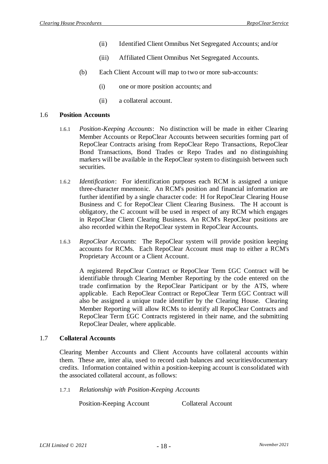- (ii) Identified Client Omnibus Net Segregated Accounts; and/or
- (iii) Affiliated Client Omnibus Net Segregated Accounts.
- (b) Each Client Account will map to two or more sub-accounts:
	- (i) one or more position accounts; and
	- (ii) a collateral account.

#### 1.6 **Position Accounts**

- 1.6.1 *Position-Keeping Accounts*: No distinction will be made in either Clearing Member Accounts or RepoClear Accounts between securities forming part of RepoClear Contracts arising from RepoClear Repo Transactions, RepoClear Bond Transactions, Bond Trades or Repo Trades and no distinguishing markers will be available in the RepoClear system to distinguish between such securities.
- 1.6.2 *Identification*: For identification purposes each RCM is assigned a unique three-character mnemonic. An RCM's position and financial information are further identified by a single character code: H for RepoClear Clearing House Business and C for RepoClear Client Clearing Business. The H account is obligatory, the C account will be used in respect of any RCM which engages in RepoClear Client Clearing Business. An RCM's RepoClear positions are also recorded within the RepoClear system in RepoClear Accounts.
- 1.6.3 *RepoClear Accounts*: The RepoClear system will provide position keeping accounts for RCMs. Each RepoClear Account must map to either a RCM's Proprietary Account or a Client Account.

A registered RepoClear Contract or RepoClear Term £GC Contract will be identifiable through Clearing Member Reporting by the code entered on the trade confirmation by the RepoClear Participant or by the ATS, where applicable. Each RepoClear Contract or RepoClear Term £GC Contract will also be assigned a unique trade identifier by the Clearing House. Clearing Member Reporting will allow RCMs to identify all RepoClear Contracts and RepoClear Term £GC Contracts registered in their name, and the submitting RepoClear Dealer, where applicable.

#### 1.7 **Collateral Accounts**

Clearing Member Accounts and Client Accounts have collateral accounts within them. These are, inter alia, used to record cash balances and securities/documentary credits. Information contained within a position-keeping account is consolidated with the associated collateral account, as follows:

1.7.1 *Relationship with Position-Keeping Accounts*

Position-Keeping Account Collateral Account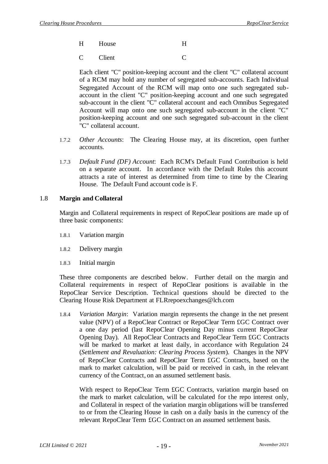- H House H
- C Client C

Each client "C" position-keeping account and the client "C" collateral account of a RCM may hold any number of segregated sub-accounts. Each Individual Segregated Account of the RCM will map onto one such segregated subaccount in the client "C" position-keeping account and one such segregated sub-account in the client "C" collateral account and each Omnibus Segregated Account will map onto one such segregated sub-account in the client "C" position-keeping account and one such segregated sub-account in the client "C" collateral account.

- 1.7.2 *Other Accounts*: The Clearing House may, at its discretion, open further accounts.
- 1.7.3 *Default Fund (DF) Account*: Each RCM's Default Fund Contribution is held on a separate account. In accordance with the Default Rules this account attracts a rate of interest as determined from time to time by the Clearing House. The Default Fund account code is F.

### 1.8 **Margin and Collateral**

Margin and Collateral requirements in respect of RepoClear positions are made up of three basic components:

- 1.8.1 Variation margin
- 1.8.2 Delivery margin
- 1.8.3 Initial margin

These three components are described below. Further detail on the margin and Collateral requirements in respect of RepoClear positions is available in the RepoClear Service Description. Technical questions should be directed to the Clearing House Risk Department at FLRrepoexchanges@lch.com

1.8.4 *Variation Margin*: Variation margin represents the change in the net present value (NPV) of a RepoClear Contract or RepoClear Term £GC Contract over a one day period (last RepoClear Opening Day minus current RepoClear Opening Day). All RepoClear Contracts and RepoClear Term £GC Contracts will be marked to market at least daily, in accordance with Regulation 24 (*Settlement and Revaluation: Clearing Process System*). Changes in the NPV of RepoClear Contracts and RepoClear Term £GC Contracts, based on the mark to market calculation, will be paid or received in cash, in the relevant currency of the Contract, on an assumed settlement basis.

With respect to RepoClear Term £GC Contracts, variation margin based on the mark to market calculation, will be calculated for the repo interest only, and Collateral in respect of the variation margin obligations will be transferred to or from the Clearing House in cash on a daily basis in the currency of the relevant RepoClear Term £GC Contract on an assumed settlement basis.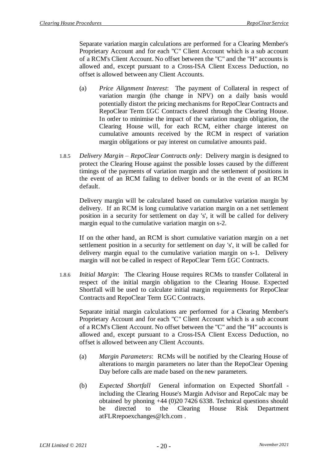Separate variation margin calculations are performed for a Clearing Member's Proprietary Account and for each "C" Client Account which is a sub account of a RCM's Client Account. No offset between the "C" and the "H" accounts is allowed and, except pursuant to a Cross-ISA Client Excess Deduction, no offset is allowed between any Client Accounts.

- (a) *Price Alignment Interest*: The payment of Collateral in respect of variation margin (the change in NPV) on a daily basis would potentially distort the pricing mechanisms for RepoClear Contracts and RepoClear Term £GC Contracts cleared through the Clearing House. In order to minimise the impact of the variation margin obligation, the Clearing House will, for each RCM, either charge interest on cumulative amounts received by the RCM in respect of variation margin obligations or pay interest on cumulative amounts paid.
- 1.8.5 *Delivery Margin – RepoClear Contracts only*: Delivery margin is designed to protect the Clearing House against the possible losses caused by the different timings of the payments of variation margin and the settlement of positions in the event of an RCM failing to deliver bonds or in the event of an RCM default.

Delivery margin will be calculated based on cumulative variation margin by delivery. If an RCM is long cumulative variation margin on a net settlement position in a security for settlement on day 's', it will be called for delivery margin equal to the cumulative variation margin on s-2.

If on the other hand, an RCM is short cumulative variation margin on a net settlement position in a security for settlement on day 's', it will be called for delivery margin equal to the cumulative variation margin on s-1. Delivery margin will not be called in respect of RepoClear Term £GC Contracts.

1.8.6 *Initial Margin*: The Clearing House requires RCMs to transfer Collateral in respect of the initial margin obligation to the Clearing House. Expected Shortfall will be used to calculate initial margin requirements for RepoClear Contracts and RepoClear Term £GC Contracts.

Separate initial margin calculations are performed for a Clearing Member's Proprietary Account and for each "C" Client Account which is a sub account of a RCM's Client Account. No offset between the "C" and the "H" accounts is allowed and, except pursuant to a Cross-ISA Client Excess Deduction, no offset is allowed between any Client Accounts.

- (a) *Margin Parameters*: RCMs will be notified by the Clearing House of alterations to margin parameters no later than the RepoClear Opening Day before calls are made based on the new parameters.
- <span id="page-21-0"></span>(b) *Expected Shortfall* General information on Expected Shortfall including the Clearing House's Margin Advisor and RepoCalc may be obtained by phoning +44 (0)20 7426 6338. Technical questions should be directed to the Clearing House Risk Department atFLRrepoexchanges@lch.com .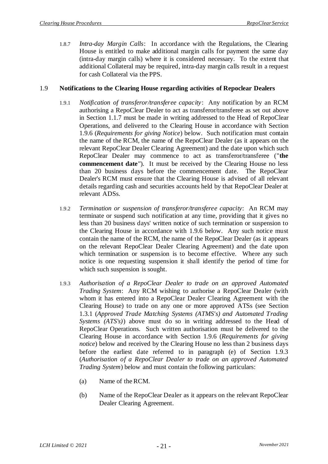1.8.7 *Intra-day Margin Calls*: In accordance with the Regulations, the Clearing House is entitled to make additional margin calls for payment the same day (intra-day margin calls) where it is considered necessary. To the extent that additional Collateral may be required, intra-day margin calls result in a request for cash Collateral via the PPS.

### <span id="page-22-1"></span>1.9 **Notifications to the Clearing House regarding activities of Repoclear Dealers**

- 1.9.1 *Notification of transferor/transferee capacity*: Any notification by an RCM authorising a RepoClear Dealer to act as transferor/transferee as set out above in Section [1.1.7](#page-5-0) must be made in writing addressed to the Head of RepoClear Operations, and delivered to the Clearing House in accordance with Section [1.9.6](#page-25-0) (*Requirements for giving Notice*) below. Such notification must contain the name of the RCM, the name of the RepoClear Dealer (as it appears on the relevant RepoClear Dealer Clearing Agreement) and the date upon which such RepoClear Dealer may commence to act as transferor/transferee ("**the commencement date**"). It must be received by the Clearing House no less than 20 business days before the commencement date. The RepoClear Dealer's RCM must ensure that the Clearing House is advised of all relevant details regarding cash and securities accounts held by that RepoClear Dealer at relevant ADSs.
- 1.9.2 *Termination or suspension of transferor/transferee capacity*: An RCM may terminate or suspend such notification at any time, providing that it gives no less than 20 business days' written notice of such termination or suspension to the Clearing House in accordance with [1.9.6](#page-25-0) below. Any such notice must contain the name of the RCM, the name of the RepoClear Dealer (as it appears on the relevant RepoClear Dealer Clearing Agreement) and the date upon which termination or suspension is to become effective. Where any such notice is one requesting suspension it shall identify the period of time for which such suspension is sought.
- <span id="page-22-0"></span>1.9.3 *Authorisation of a RepoClear Dealer to trade on an approved Automated Trading System*: Any RCM wishing to authorise a RepoClear Dealer (with whom it has entered into a RepoClear Dealer Clearing Agreement with the Clearing House) to trade on any one or more approved ATSs (see Section [1.3.1](#page-7-0) (*Approved Trade Matching Systems (ATMS's) and Automated Trading Systems (ATS's)*) above must do so in writing addressed to the Head of RepoClear Operations. Such written authorisation must be delivered to the Clearing House in accordance with Section [1.9.6](#page-25-0) (*Requirements for giving notice*) below and received by the Clearing House no less than 2 business days before the earliest date referred to in paragraph [\(e\)](#page-23-0) of Section [1.9.3](#page-22-0) (*Authorisation of a RepoClear Dealer to trade on an approved Automated Trading System*) below and must contain the following particulars:
	- (a) Name of the RCM.
	- (b) Name of the RepoClear Dealer as it appears on the relevant RepoClear Dealer Clearing Agreement.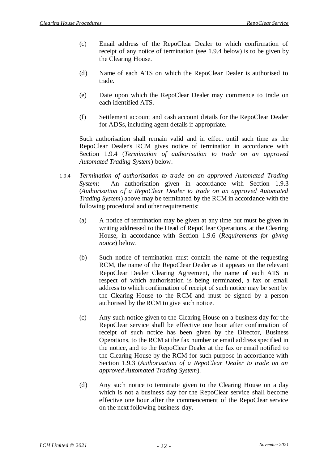- (c) Email address of the RepoClear Dealer to which confirmation of receipt of any notice of termination (see [1.9.4](#page-23-1) below) is to be given by the Clearing House.
- (d) Name of each ATS on which the RepoClear Dealer is authorised to trade.
- <span id="page-23-0"></span>(e) Date upon which the RepoClear Dealer may commence to trade on each identified ATS.
- (f) Settlement account and cash account details for the RepoClear Dealer for ADSs, including agent details if appropriate.

Such authorisation shall remain valid and in effect until such time as the RepoClear Dealer's RCM gives notice of termination in accordance with Section [1.9.4](#page-23-1) (*Termination of authorisation to trade on an approved Automated Trading System*) below.

- <span id="page-23-1"></span>1.9.4 *Termination of authorisation to trade on an approved Automated Trading System*: An authorisation given in accordance with Section [1.9.3](#page-22-0) (*Authorisation of a RepoClear Dealer to trade on an approved Automated Trading System*) above may be terminated by the RCM in accordance with the following procedural and other requirements:
	- (a) A notice of termination may be given at any time but must be given in writing addressed to the Head of RepoClear Operations, at the Clearing House, in accordance with Section [1.9.6](#page-25-0) (*Requirements for giving notice*) below.
	- (b) Such notice of termination must contain the name of the requesting RCM, the name of the RepoClear Dealer as it appears on the relevant RepoClear Dealer Clearing Agreement, the name of each ATS in respect of which authorisation is being terminated, a fax or email address to which confirmation of receipt of such notice may be sent by the Clearing House to the RCM and must be signed by a person authorised by the RCM to give such notice.
	- (c) Any such notice given to the Clearing House on a business day for the RepoClear service shall be effective one hour after confirmation of receipt of such notice has been given by the Director, Business Operations, to the RCM at the fax number or email address specified in the notice, and to the RepoClear Dealer at the fax or email notified to the Clearing House by the RCM for such purpose in accordance with Section [1.9.3](#page-22-0) (*Authorisation of a RepoClear Dealer to trade on an approved Automated Trading System*).
	- (d) Any such notice to terminate given to the Clearing House on a day which is not a business day for the RepoClear service shall become effective one hour after the commencement of the RepoClear service on the next following business day.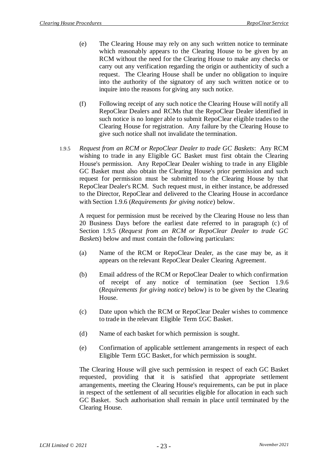- (e) The Clearing House may rely on any such written notice to terminate which reasonably appears to the Clearing House to be given by an RCM without the need for the Clearing House to make any checks or carry out any verification regarding the origin or authenticity of such a request. The Clearing House shall be under no obligation to inquire into the authority of the signatory of any such written notice or to inquire into the reasons for giving any such notice.
- (f) Following receipt of any such notice the Clearing House will notify all RepoClear Dealers and RCMs that the RepoClear Dealer identified in such notice is no longer able to submit RepoClear eligible trades to the Clearing House for registration. Any failure by the Clearing House to give such notice shall not invalidate the termination.
- <span id="page-24-0"></span>1.9.5 *Request from an RCM or RepoClear Dealer to trade GC Baskets*: Any RCM wishing to trade in any Eligible GC Basket must first obtain the Clearing House's permission. Any RepoClear Dealer wishing to trade in any Eligible GC Basket must also obtain the Clearing House's prior permission and such request for permission must be submitted to the Clearing House by that RepoClear Dealer's RCM. Such request must, in either instance, be addressed to the Director, RepoClear and delivered to the Clearing House in accordance with Section [1.9.6](#page-25-0) (*Requirements for giving notice*) below.

A request for permission must be received by the Clearing House no less than 20 Business Days before the earliest date referred to in paragraph [\(c\)](#page-24-1) of Section [1.9.5](#page-24-0) (*Request from an RCM or RepoClear Dealer to trade GC Baskets*) below and must contain the following particulars:

- (a) Name of the RCM or RepoClear Dealer, as the case may be, as it appears on the relevant RepoClear Dealer Clearing Agreement.
- (b) Email address of the RCM or RepoClear Dealer to which confirmation of receipt of any notice of termination (see Section [1.9.6](#page-25-0) (*Requirements for giving notice*) below) is to be given by the Clearing House.
- <span id="page-24-1"></span>(c) Date upon which the RCM or RepoClear Dealer wishes to commence to trade in the relevant Eligible Term £GC Basket.
- (d) Name of each basket for which permission is sought.
- (e) Confirmation of applicable settlement arrangements in respect of each Eligible Term £GC Basket, for which permission is sought.

The Clearing House will give such permission in respect of each GC Basket requested, providing that it is satisfied that appropriate settlement arrangements, meeting the Clearing House's requirements, can be put in place in respect of the settlement of all securities eligible for allocation in each such GC Basket. Such authorisation shall remain in place until terminated by the Clearing House.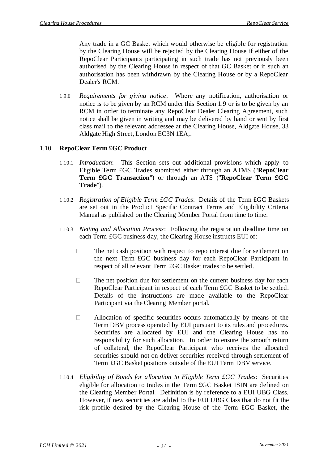Any trade in a GC Basket which would otherwise be eligible for registration by the Clearing House will be rejected by the Clearing House if either of the RepoClear Participants participating in such trade has not previously been authorised by the Clearing House in respect of that GC Basket or if such an authorisation has been withdrawn by the Clearing House or by a RepoClear Dealer's RCM.

<span id="page-25-0"></span>1.9.6 *Requirements for giving notice*: Where any notification, authorisation or notice is to be given by an RCM under this Section [1.9](#page-22-1) or is to be given by an RCM in order to terminate any RepoClear Dealer Clearing Agreement, such notice shall be given in writing and may be delivered by hand or sent by first class mail to the relevant addressee at the Clearing House, Aldgate House, 33 Aldgate High Street, London EC3N 1EA,.

## 1.10 **RepoClear Term £GC Product**

- 1.10.1 *Introduction*: This Section sets out additional provisions which apply to Eligible Term £GC Trades submitted either through an ATMS ("**RepoClear Term £GC Transaction**") or through an ATS ("**RepoClear Term £GC Trade**").
- 1.10.2 *Registration of Eligible Term £GC Trades*: Details of the Term £GC Baskets are set out in the Product Specific Contract Terms and Eligibility Criteria Manual as published on the Clearing Member Portal from time to time.
- 1.10.3 *Netting and Allocation Process*: Following the registration deadline time on each Term £GC business day, the Clearing House instructs EUI of:
	- $\Box$ The net cash position with respect to repo interest due for settlement on the next Term £GC business day for each RepoClear Participant in respect of all relevant Term £GC Basket trades to be settled.
	- $\Box$ The net position due for settlement on the current business day for each RepoClear Participant in respect of each Term £GC Basket to be settled. Details of the instructions are made available to the RepoClear Participant via the Clearing Member portal.
	- $\Box$ Allocation of specific securities occurs automatically by means of the Term DBV process operated by EUI pursuant to its rules and procedures. Securities are allocated by EUI and the Clearing House has no responsibility for such allocation. In order to ensure the smooth return of collateral, the RepoClear Participant who receives the allocated securities should not on-deliver securities received through settlement of Term £GC Basket positions outside of the EUI Term DBV service.
- 1.10.4 *Eligibility of Bonds for allocation to Eligible Term £GC Trades*: Securities eligible for allocation to trades in the Term £GC Basket ISIN are defined on the Clearing Member Portal. Definition is by reference to a EUI UBG Class. However, if new securities are added to the EUI UBG Class that do not fit the risk profile desired by the Clearing House of the Term £GC Basket, the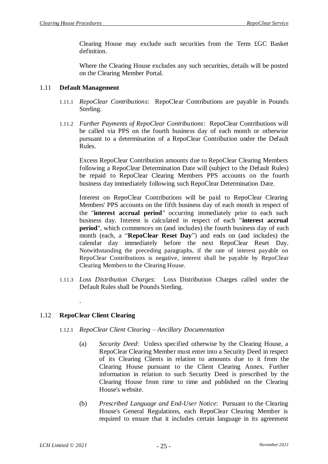Clearing House may exclude such securities from the Term £GC Basket definition.

Where the Clearing House excludes any such securities, details will be posted on the Clearing Member Portal.

### 1.11 **Default Management**

- 1.11.1 *RepoClear Contributions*: RepoClear Contributions are payable in Pounds Sterling.
- 1.11.2 *Further Payments of RepoClear Contributions*: RepoClear Contributions will be called via PPS on the fourth business day of each month or otherwise pursuant to a determination of a RepoClear Contribution under the Default Rules.

Excess RepoClear Contribution amounts due to RepoClear Clearing Members following a RepoClear Determination Date will (subject to the Default Rules) be repaid to RepoClear Clearing Members PPS accounts on the fourth business day immediately following such RepoClear Determination Date.

Interest on RepoClear Contributions will be paid to RepoClear Clearing Members' PPS accounts on the fifth business day of each month in respect of the "**interest accrual period**" occurring immediately prior to each such business day. Interest is calculated in respect of each "**interest accrual period**", which commences on (and includes) the fourth business day of each month (each, a "**RepoClear Reset Day**") and ends on (and includes) the calendar day immediately before the next RepoClear Reset Day. Notwithstanding the preceding paragraphs, if the rate of interest payable on RepoClear Contributions is negative, interest shall be payable by RepoClear Clearing Members to the Clearing House.

1.11.3 *Loss Distribution Charges*: Loss Distribution Charges called under the Default Rules shall be Pounds Sterling.

## <span id="page-26-0"></span>1.12 **RepoClear Client Clearing**

.

#### 1.12.1 *RepoClear Client Clearing – Ancillary Documentation*

- (a) *Security Deed*: Unless specified otherwise by the Clearing House, a RepoClear Clearing Member must enter into a Security Deed in respect of its Clearing Clients in relation to amounts due to it from the Clearing House pursuant to the Client Clearing Annex. Further information in relation to such Security Deed is prescribed by the Clearing House from time to time and published on the Clearing House's website.
- (b) *Prescribed Language and End-User Notice*: Pursuant to the Clearing House's General Regulations, each RepoClear Clearing Member is required to ensure that it includes certain language in its agreement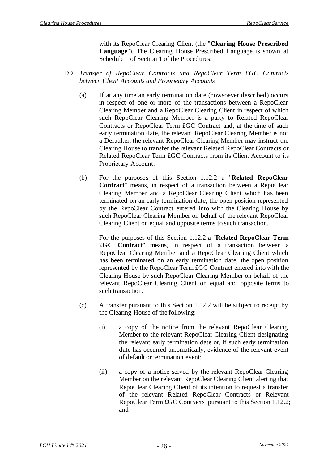with its RepoClear Clearing Client (the "**Clearing House Prescribed Language**"). The Clearing House Prescribed Language is shown at Schedule 1 of Section 1 of the Procedures.

- <span id="page-27-0"></span>1.12.2 *Transfer of RepoClear Contracts and RepoClear Term £GC Contracts between Client Accounts and Proprietary Accounts*
	- (a) If at any time an early termination date (howsoever described) occurs in respect of one or more of the transactions between a RepoClear Clearing Member and a RepoClear Clearing Client in respect of which such RepoClear Clearing Member is a party to Related RepoClear Contracts or RepoClear Term £GC Contract and, at the time of such early termination date, the relevant RepoClear Clearing Member is not a Defaulter, the relevant RepoClear Clearing Member may instruct the Clearing House to transfer the relevant Related RepoClear Contracts or Related RepoClear Term £GC Contracts from its Client Account to its Proprietary Account.
	- (b) For the purposes of this Section [1.12.2](#page-27-0) a "**Related RepoClear Contract**" means, in respect of a transaction between a RepoClear Clearing Member and a RepoClear Clearing Client which has been terminated on an early termination date, the open position represented by the RepoClear Contract entered into with the Clearing House by such RepoClear Clearing Member on behalf of the relevant RepoClear Clearing Client on equal and opposite terms to such transaction.

For the purposes of this Section [1.12.2](#page-27-0) a "**Related RepoClear Term £GC Contract**" means, in respect of a transaction between a RepoClear Clearing Member and a RepoClear Clearing Client which has been terminated on an early termination date, the open position represented by the RepoClear Term £GC Contract entered into with the Clearing House by such RepoClear Clearing Member on behalf of the relevant RepoClear Clearing Client on equal and opposite terms to such transaction.

- (c) A transfer pursuant to this Section 1.12.2 will be subject to receipt by the Clearing House of the following:
	- (i) a copy of the notice from the relevant RepoClear Clearing Member to the relevant RepoClear Clearing Client designating the relevant early termination date or, if such early termination date has occurred automatically, evidence of the relevant event of default or termination event;
	- (ii) a copy of a notice served by the relevant RepoClear Clearing Member on the relevant RepoClear Clearing Client alerting that RepoClear Clearing Client of its intention to request a transfer of the relevant Related RepoClear Contracts or Relevant RepoClear Term £GC Contracts pursuant to this Section [1.12.2;](#page-27-0) and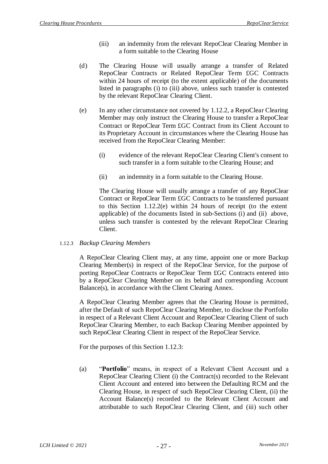- (iii) an indemnity from the relevant RepoClear Clearing Member in a form suitable to the Clearing House
- (d) The Clearing House will usually arrange a transfer of Related RepoClear Contracts or Related RepoClear Term £GC Contracts within 24 hours of receipt (to the extent applicable) of the documents listed in paragraphs (i) to (iii) above, unless such transfer is contested by the relevant RepoClear Clearing Client.
- <span id="page-28-0"></span>(e) In any other circumstance not covered by [1.12.2,](#page-27-0) a RepoClear Clearing Member may only instruct the Clearing House to transfer a RepoClear Contract or RepoClear Term £GC Contract from its Client Account to its Proprietary Account in circumstances where the Clearing House has received from the RepoClear Clearing Member:
	- (i) evidence of the relevant RepoClear Clearing Client's consent to such transfer in a form suitable to the Clearing House; and
	- (ii) an indemnity in a form suitable to the Clearing House.

<span id="page-28-1"></span>The Clearing House will usually arrange a transfer of any RepoClear Contract or RepoClear Term £GC Contracts to be transferred pursuant to this Section 1.12.2(e) within 24 hours of receipt (to the extent applicable) of the documents listed in sub-Sections [\(i\)](#page-28-0) and [\(ii\)](#page-28-1) above, unless such transfer is contested by the relevant RepoClear Clearing Client.

1.12.3 *Backup Clearing Members*

A RepoClear Clearing Client may, at any time, appoint one or more Backup Clearing Member(s) in respect of the RepoClear Service, for the purpose of porting RepoClear Contracts or RepoClear Term £GC Contracts entered into by a RepoClear Clearing Member on its behalf and corresponding Account Balance(s), in accordance with the Client Clearing Annex.

A RepoClear Clearing Member agrees that the Clearing House is permitted, after the Default of such RepoClear Clearing Member, to disclose the Portfolio in respect of a Relevant Client Account and RepoClear Clearing Client of such RepoClear Clearing Member, to each Backup Clearing Member appointed by such RepoClear Clearing Client in respect of the RepoClear Service.

For the purposes of this Section 1.12.3:

(a) "**Portfolio**" means, in respect of a Relevant Client Account and a RepoClear Clearing Client (i) the Contract(s) recorded to the Relevant Client Account and entered into between the Defaulting RCM and the Clearing House, in respect of such RepoClear Clearing Client, (ii) the Account Balance(s) recorded to the Relevant Client Account and attributable to such RepoClear Clearing Client, and (iii) such other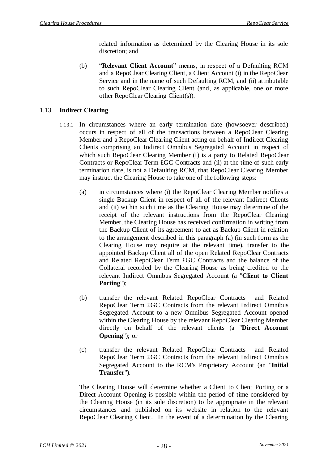related information as determined by the Clearing House in its sole discretion; and

(b) "**Relevant Client Account**" means, in respect of a Defaulting RCM and a RepoClear Clearing Client, a Client Account (i) in the RepoClear Service and in the name of such Defaulting RCM, and (ii) attributable to such RepoClear Clearing Client (and, as applicable, one or more other RepoClear Clearing Client(s)).

## <span id="page-29-1"></span>1.13 **Indirect Clearing**

- <span id="page-29-0"></span>1.13.1 In circumstances where an early termination date (howsoever described) occurs in respect of all of the transactions between a RepoClear Clearing Member and a RepoClear Clearing Client acting on behalf of Indirect Clearing Clients comprising an Indirect Omnibus Segregated Account in respect of which such RepoClear Clearing Member (i) is a party to Related RepoClear Contracts or RepoClear Term £GC Contracts and (ii) at the time of such early termination date, is not a Defaulting RCM, that RepoClear Clearing Member may instruct the Clearing House to take one of the following steps:
	- (a) in circumstances where (i) the RepoClear Clearing Member notifies a single Backup Client in respect of all of the relevant Indirect Clients and (ii) within such time as the Clearing House may determine of the receipt of the relevant instructions from the RepoClear Clearing Member, the Clearing House has received confirmation in writing from the Backup Client of its agreement to act as Backup Client in relation to the arrangement described in this paragraph [\(a\)](#page-29-0) (in such form as the Clearing House may require at the relevant time), transfer to the appointed Backup Client all of the open Related RepoClear Contracts and Related RepoClear Term £GC Contracts and the balance of the Collateral recorded by the Clearing House as being credited to the relevant Indirect Omnibus Segregated Account (a "**Client to Client Porting**");
	- (b) transfer the relevant Related RepoClear Contracts and Related RepoClear Term £GC Contracts from the relevant Indirect Omnibus Segregated Account to a new Omnibus Segregated Account opened within the Clearing House by the relevant RepoClear Clearing Member directly on behalf of the relevant clients (a "**Direct Account Opening**"); or
	- (c) transfer the relevant Related RepoClear Contracts and Related RepoClear Term £GC Contracts from the relevant Indirect Omnibus Segregated Account to the RCM's Proprietary Account (an "**Initial Transfer**").

<span id="page-29-3"></span><span id="page-29-2"></span>The Clearing House will determine whether a Client to Client Porting or a Direct Account Opening is possible within the period of time considered by the Clearing House (in its sole discretion) to be appropriate in the relevant circumstances and published on its website in relation to the relevant RepoClear Clearing Client. In the event of a determination by the Clearing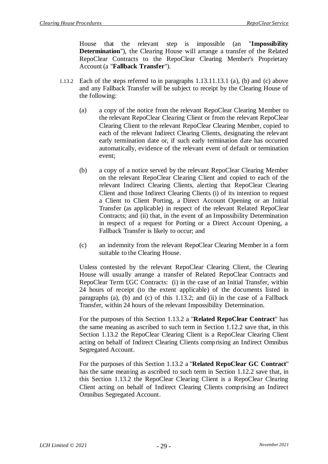House that the relevant step is impossible (an "**Impossibility Determination**"), the Clearing House will arrange a transfer of the Related RepoClear Contracts to the RepoClear Clearing Member's Proprietary Account (a "**Fallback Transfer**").

- <span id="page-30-2"></span><span id="page-30-0"></span>1.13.2 Each of the steps referred to in paragraphs [1.13.11](#page-29-1).13.1 [\(a\),](#page-29-0) [\(b\)](#page-29-2) and [\(c\)](#page-29-3) above and any Fallback Transfer will be subject to receipt by the Clearing House of the following:
	- (a) a copy of the notice from the relevant RepoClear Clearing Member to the relevant RepoClear Clearing Client or from the relevant RepoClear Clearing Client to the relevant RepoClear Clearing Member, copied to each of the relevant Indirect Clearing Clients, designating the relevant early termination date or, if such early termination date has occurred automatically, evidence of the relevant event of default or termination event;
	- (b) a copy of a notice served by the relevant RepoClear Clearing Member on the relevant RepoClear Clearing Client and copied to each of the relevant Indirect Clearing Clients, alerting that RepoClear Clearing Client and those Indirect Clearing Clients (i) of its intention to request a Client to Client Porting, a Direct Account Opening or an Initial Transfer (as applicable) in respect of the relevant Related RepoClear Contracts; and (ii) that, in the event of an Impossibility Determination in respect of a request for Porting or a Direct Account Opening, a Fallback Transfer is likely to occur; and
	- (c) an indemnity from the relevant RepoClear Clearing Member in a form suitable to the Clearing House.

<span id="page-30-1"></span>Unless contested by the relevant RepoClear Clearing Client, the Clearing House will usually arrange a transfer of Related RepoClear Contracts and RepoClear Term £GC Contracts: (i) in the case of an Initial Transfer, within 24 hours of receipt (to the extent applicable) of the documents listed in paragraphs [\(a\),](#page-30-0) [\(b\)](#page-29-2) and [\(c\)](#page-30-1) of this [1.13.2;](#page-30-2) and (ii) in the case of a Fallback Transfer, within 24 hours of the relevant Impossibility Determination.

For the purposes of this Section [1.13.2](#page-30-2) a "**Related RepoClear Contract**" has the same meaning as ascribed to such term in Section [1.12.2](#page-27-0) save that, in this Section [1.13.2](#page-30-2) the RepoClear Clearing Client is a RepoClear Clearing Client acting on behalf of Indirect Clearing Clients comprising an Indirect Omnibus Segregated Account.

For the purposes of this Section [1.13.2](#page-30-2) a "**Related RepoClear GC Contract**" has the same meaning as ascribed to such term in Section [1.12.2](#page-27-0) save that, in this Section [1.13.2](#page-30-2) the RepoClear Clearing Client is a RepoClear Clearing Client acting on behalf of Indirect Clearing Clients comprising an Indirect Omnibus Segregated Account.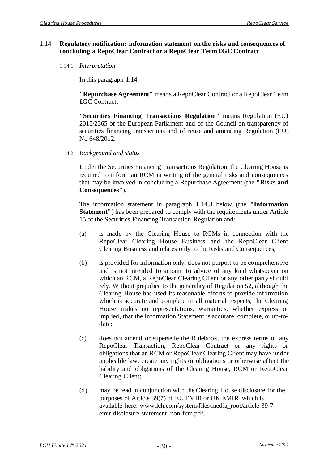#### 1.14 **Regulatory notification: information statement on the risks and consequences of concluding a RepoClear Contract or a RepoClear Term £GC Contract**

1.14.1 *Interpretation*

In this paragraph 1.14:

**"Repurchase Agreement"** means a RepoClear Contract or a RepoClear Term £GC Contract.

**"Securities Financing Transactions Regulation"** means Regulation (EU) 2015/2365 of the European Parliament and of the Council on transparency of securities financing transactions and of reuse and amending Regulation (EU) No 648/2012.

1.14.2 *Background and status*

Under the Securities Financing Transactions Regulation, the Clearing House is required to inform an RCM in writing of the general risks and consequences that may be involved in concluding a Repurchase Agreement (the **"Risks and Consequences"**).

The information statement in paragraph 1.14.3 below (the **"Information Statement"**) has been prepared to comply with the requirements under Article 15 of the Securities Financing Transaction Regulation and;

- (a) is made by the Clearing House to RCMs in connection with the RepoClear Clearing House Business and the RepoClear Client Clearing Business and relates only to the Risks and Consequences;
- (b) is provided for information only, does not purport to be comprehensive and is not intended to amount to advice of any kind whatsoever on which an RCM, a RepoClear Clearing Client or any other party should rely. Without prejudice to the generality of Regulation 52, although the Clearing House has used its reasonable efforts to provide information which is accurate and complete in all material respects, the Clearing House makes no representations, warranties, whether express or implied, that the Information Statement is accurate, complete, or up-todate;
- (c) does not amend or supersede the Rulebook, the express terms of any RepoClear Transaction, RepoClear Contract or any rights or obligations that an RCM or RepoClear Clearing Client may have under applicable law, create any rights or obligations or otherwise affect the liability and obligations of the Clearing House, RCM or RepoClear Clearing Client;
- (d) may be read in conjunction with the Clearing House disclosure for the purposes of Article 39(7) of EU EMIR or UK EMIR, which is available here: www.lch.com/system/files/media\_root/article-39-7 emir-disclosure-statement\_non-fcm.pdf.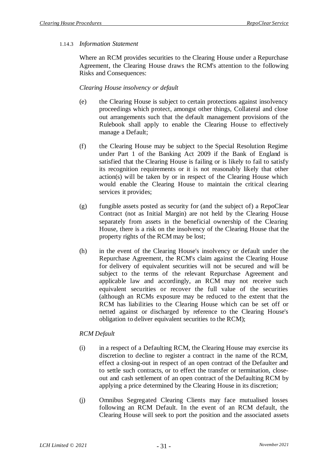### 1.14.3 *Information Statement*

Where an RCM provides securities to the Clearing House under a Repurchase Agreement, the Clearing House draws the RCM's attention to the following Risks and Consequences:

### *Clearing House insolvency or default*

- (e) the Clearing House is subject to certain protections against insolvency proceedings which protect, amongst other things, Collateral and close out arrangements such that the default management provisions of the Rulebook shall apply to enable the Clearing House to effectively manage a Default;
- (f) the Clearing House may be subject to the Special Resolution Regime under Part 1 of the Banking Act 2009 if the Bank of England is satisfied that the Clearing House is failing or is likely to fail to satisfy its recognition requirements or it is not reasonably likely that other action(s) will be taken by or in respect of the Clearing House which would enable the Clearing House to maintain the critical clearing services it provides;
- (g) fungible assets posted as security for (and the subject of) a RepoClear Contract (not as Initial Margin) are not held by the Clearing House separately from assets in the beneficial ownership of the Clearing House, there is a risk on the insolvency of the Clearing House that the property rights of the RCM may be lost;
- (h) in the event of the Clearing House's insolvency or default under the Repurchase Agreement, the RCM's claim against the Clearing House for delivery of equivalent securities will not be secured and will be subject to the terms of the relevant Repurchase Agreement and applicable law and accordingly, an RCM may not receive such equivalent securities or recover the full value of the securities (although an RCMs exposure may be reduced to the extent that the RCM has liabilities to the Clearing House which can be set off or netted against or discharged by reference to the Clearing House's obligation to deliver equivalent securities to the RCM);

#### *RCM Default*

- (i) in a respect of a Defaulting RCM, the Clearing House may exercise its discretion to decline to register a contract in the name of the RCM, effect a closing-out in respect of an open contract of the Defaulter and to settle such contracts, or to effect the transfer or termination, closeout and cash settlement of an open contract of the Defaulting RCM by applying a price determined by the Clearing House in its discretion;
- (j) Omnibus Segregated Clearing Clients may face mutualised losses following an RCM Default. In the event of an RCM default, the Clearing House will seek to port the position and the associated assets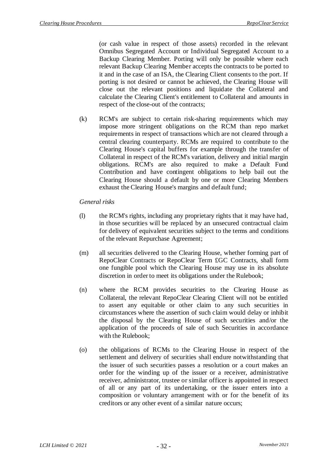(or cash value in respect of those assets) recorded in the relevant Omnibus Segregated Account or Individual Segregated Account to a Backup Clearing Member. Porting will only be possible where each relevant Backup Clearing Member accepts the contracts to be ported to it and in the case of an ISA, the Clearing Client consents to the port. If porting is not desired or cannot be achieved, the Clearing House will close out the relevant positions and liquidate the Collateral and calculate the Clearing Client's entitlement to Collateral and amounts in respect of the close-out of the contracts;

(k) RCM's are subject to certain risk-sharing requirements which may impose more stringent obligations on the RCM than repo market requirements in respect of transactions which are not cleared through a central clearing counterparty. RCMs are required to contribute to the Clearing House's capital buffers for example through the transfer of Collateral in respect of the RCM's variation, delivery and initial margin obligations. RCM's are also required to make a Default Fund Contribution and have contingent obligations to help bail out the Clearing House should a default by one or more Clearing Members exhaust the Clearing House's margins and default fund;

### *General risks*

- (l) the RCM's rights, including any proprietary rights that it may have had, in those securities will be replaced by an unsecured contractual claim for delivery of equivalent securities subject to the terms and conditions of the relevant Repurchase Agreement;
- (m) all securities delivered to the Clearing House, whether forming part of RepoClear Contracts or RepoClear Term £GC Contracts, shall form one fungible pool which the Clearing House may use in its absolute discretion in order to meet its obligations under the Rulebook;
- (n) where the RCM provides securities to the Clearing House as Collateral, the relevant RepoClear Clearing Client will not be entitled to assert any equitable or other claim to any such securities in circumstances where the assertion of such claim would delay or inhibit the disposal by the Clearing House of such securities and/or the application of the proceeds of sale of such Securities in accordance with the Rulebook;
- (o) the obligations of RCMs to the Clearing House in respect of the settlement and delivery of securities shall endure notwithstanding that the issuer of such securities passes a resolution or a court makes an order for the winding up of the issuer or a receiver, administrative receiver, administrator, trustee or similar officer is appointed in respect of all or any part of its undertaking, or the issuer enters into a composition or voluntary arrangement with or for the benefit of its creditors or any other event of a similar nature occurs;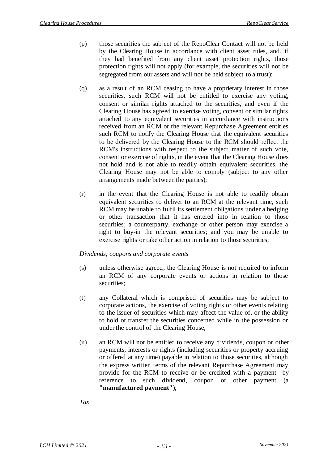- (p) those securities the subject of the RepoClear Contact will not be held by the Clearing House in accordance with client asset rules, and, if they had benefited from any client asset protection rights, those protection rights will not apply (for example, the securities will not be segregated from our assets and will not be held subject to a trust);
- (q) as a result of an RCM ceasing to have a proprietary interest in those securities, such RCM will not be entitled to exercise any voting, consent or similar rights attached to the securities, and even if the Clearing House has agreed to exercise voting, consent or similar rights attached to any equivalent securities in accordance with instructions received from an RCM or the relevant Repurchase Agreement entitles such RCM to notify the Clearing House that the equivalent securities to be delivered by the Clearing House to the RCM should reflect the RCM's instructions with respect to the subject matter of such vote, consent or exercise of rights, in the event that the Clearing House does not hold and is not able to readily obtain equivalent securities, the Clearing House may not be able to comply (subject to any other arrangements made between the parties);
- (r) in the event that the Clearing House is not able to readily obtain equivalent securities to deliver to an RCM at the relevant time, such RCM may be unable to fulfil its settlement obligations under a hedging or other transaction that it has entered into in relation to those securities; a counterparty, exchange or other person may exercise a right to buy-in the relevant securities; and you may be unable to exercise rights or take other action in relation to those securities;

#### *Dividends, coupons and corporate events*

- (s) unless otherwise agreed, the Clearing House is not required to inform an RCM of any corporate events or actions in relation to those securities;
- (t) any Collateral which is comprised of securities may be subject to corporate actions, the exercise of voting rights or other events relating to the issuer of securities which may affect the value of, or the ability to hold or transfer the securities concerned while in the possession or under the control of the Clearing House;
- (u) an RCM will not be entitled to receive any dividends, coupon or other payments, interests or rights (including securities or property accruing or offered at any time) payable in relation to those securities, although the express written terms of the relevant Repurchase Agreement may provide for the RCM to receive or be credited with a payment by reference to such dividend, coupon or other payment (a **"manufactured payment"**);

*Tax*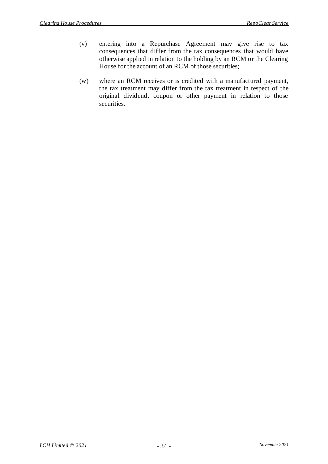- (v) entering into a Repurchase Agreement may give rise to tax consequences that differ from the tax consequences that would have otherwise applied in relation to the holding by an RCM or the Clearing House for the account of an RCM of those securities;
- (w) where an RCM receives or is credited with a manufactured payment, the tax treatment may differ from the tax treatment in respect of the original dividend, coupon or other payment in relation to those securities.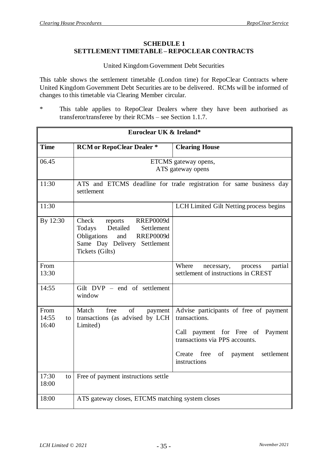#### **SCHEDULE 1 SETTLEMENT TIMETABLE – REPOCLEAR CONTRACTS**

## United Kingdom Government Debt Securities

This table shows the settlement timetable (London time) for RepoClear Contracts where United Kingdom Government Debt Securities are to be delivered. RCMs will be informed of changes to this timetable via Clearing Member circular.

\* This table applies to RepoClear Dealers where they have been authorised as transferor/transferee by their RCMs – see Section 1.1.7.

| Euroclear UK & Ireland*                  |                                                                                                                                                                       |                                                                                                                                                                                                |  |
|------------------------------------------|-----------------------------------------------------------------------------------------------------------------------------------------------------------------------|------------------------------------------------------------------------------------------------------------------------------------------------------------------------------------------------|--|
| <b>Time</b>                              | <b>RCM</b> or RepoClear Dealer *                                                                                                                                      | <b>Clearing House</b>                                                                                                                                                                          |  |
| 06.45                                    | ETCMS gateway opens,<br>ATS gateway opens                                                                                                                             |                                                                                                                                                                                                |  |
| 11:30                                    | ATS and ETCMS deadline for trade registration for same business day<br>settlement                                                                                     |                                                                                                                                                                                                |  |
| 11:30                                    |                                                                                                                                                                       | LCH Limited Gilt Netting process begins                                                                                                                                                        |  |
| By 12:30                                 | Check<br><b>RREP0009d</b><br>reports<br>Detailed<br>Todays<br>Settlement<br><b>RREP0009d</b><br>Obligations<br>and<br>Same Day Delivery Settlement<br>Tickets (Gilts) |                                                                                                                                                                                                |  |
| From<br>13:30                            |                                                                                                                                                                       | Where<br>partial<br>necessary,<br>process<br>settlement of instructions in CREST                                                                                                               |  |
| 14:55                                    | Gilt DVP - end of settlement<br>window                                                                                                                                |                                                                                                                                                                                                |  |
| From<br>14:55<br>$\overline{a}$<br>16:40 | of<br>Match<br>free<br>payment<br>transactions (as advised by LCH<br>Limited)                                                                                         | Advise participants of free of payment<br>transactions.<br>Call payment for Free of Payment<br>transactions via PPS accounts.<br>settlement<br>Create<br>free<br>of<br>payment<br>instructions |  |
| 17:30<br>to<br>18:00                     | Free of payment instructions settle                                                                                                                                   |                                                                                                                                                                                                |  |
| 18:00                                    | ATS gateway closes, ETCMS matching system closes                                                                                                                      |                                                                                                                                                                                                |  |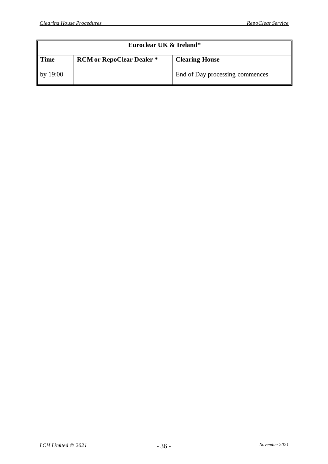| Euroclear UK & Ireland* |                                  |                                 |  |
|-------------------------|----------------------------------|---------------------------------|--|
| l Time                  | <b>RCM</b> or RepoClear Dealer * | <b>Clearing House</b>           |  |
| by $19:00$              |                                  | End of Day processing commences |  |